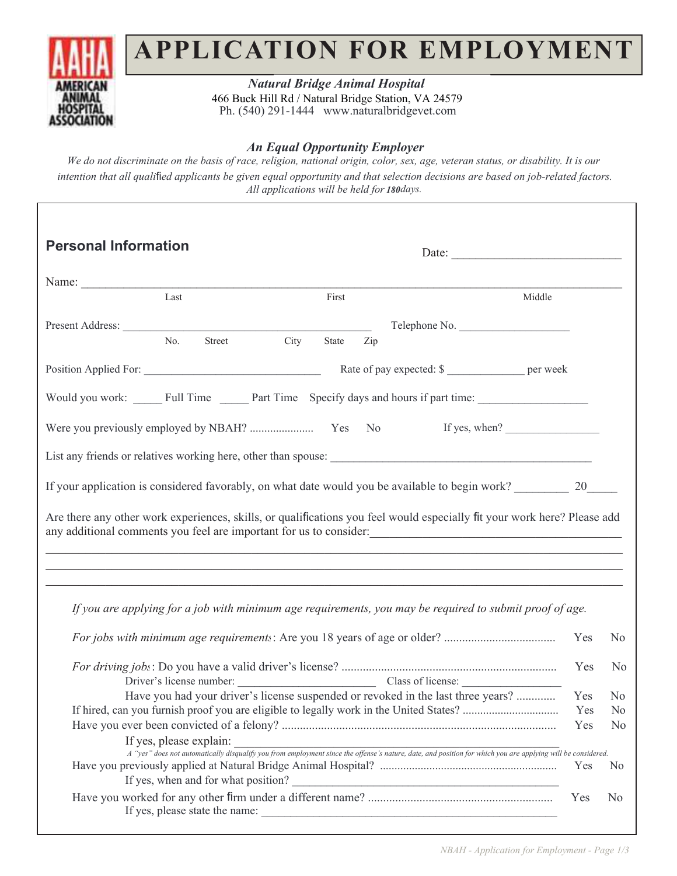

## **APPLICATION FOR EMPLOYMENT**

*Mountain Aire Veterinary Hospital Natural Bridge Animal Hospital* 8uck Hill Rd / Natural Bridge Station, VA 24579 Ph. (540) 291-1444 www.naturalbridgevet.com 466 Buck Hill Rd / Natural Bridge Station, VA 24579

## *An Equal Opportunity Employer An Equal Opportunity Employer*

We do not discriminate on the basis of race, religion, national origin, color, sex, age, veteran status, or disability. It is our intention that all qualified applicants be given equal opportunity and that selection decisions are based on job-related factors. *All applications will be held for 30 days. All applications will be held for days. 180*

| <b>Personal Information</b>                                                                                                                                                                                                                                                        | Date: $\qquad \qquad$                                                                                                                                                                  |     |                |
|------------------------------------------------------------------------------------------------------------------------------------------------------------------------------------------------------------------------------------------------------------------------------------|----------------------------------------------------------------------------------------------------------------------------------------------------------------------------------------|-----|----------------|
| Name:                                                                                                                                                                                                                                                                              |                                                                                                                                                                                        |     |                |
| Last                                                                                                                                                                                                                                                                               | First<br>Middle                                                                                                                                                                        |     |                |
|                                                                                                                                                                                                                                                                                    | Telephone No.                                                                                                                                                                          |     |                |
| Street City<br>No.                                                                                                                                                                                                                                                                 | State<br>Zip                                                                                                                                                                           |     |                |
|                                                                                                                                                                                                                                                                                    | Rate of pay expected: \$                                                                                                                                                               |     |                |
| Would you work: Full Time Part Time Specify days and hours if part time:                                                                                                                                                                                                           |                                                                                                                                                                                        |     |                |
|                                                                                                                                                                                                                                                                                    |                                                                                                                                                                                        |     |                |
|                                                                                                                                                                                                                                                                                    |                                                                                                                                                                                        |     |                |
| If your application is considered favorably, on what date would you be available to begin work? 20 20                                                                                                                                                                              |                                                                                                                                                                                        |     |                |
| Are there any other work experiences, skills, or qualifications you feel would especially fit your work here? Please add<br>any additional comments you feel are important for us to consider:<br>,我们也不能在这里的时候,我们也不能在这里的时候,我们也不能在这里的时候,我们也不能会在这里的时候,我们也不能会在这里的时候,我们也不能会在这里的时候,我们也不 |                                                                                                                                                                                        |     |                |
| If you are applying for a job with minimum age requirements, you may be required to submit proof of age.                                                                                                                                                                           |                                                                                                                                                                                        |     |                |
|                                                                                                                                                                                                                                                                                    |                                                                                                                                                                                        | Yes | N <sub>0</sub> |
|                                                                                                                                                                                                                                                                                    | Driver's license number: Class of license: Class of license:                                                                                                                           | Yes | N <sub>0</sub> |
|                                                                                                                                                                                                                                                                                    | Have you had your driver's license suspended or revoked in the last three years?                                                                                                       | Yes | N <sub>0</sub> |
|                                                                                                                                                                                                                                                                                    |                                                                                                                                                                                        | Yes | N <sub>0</sub> |
|                                                                                                                                                                                                                                                                                    |                                                                                                                                                                                        | Yes | N <sub>0</sub> |
| If yes, please explain:                                                                                                                                                                                                                                                            | If yes, please explain:<br>A "yes" does not automatically disqualify you from employment since the offense's nature, date, and position for which you are applying will be considered. |     |                |
|                                                                                                                                                                                                                                                                                    | If yes, when and for what position?                                                                                                                                                    | Yes | N <sub>0</sub> |
|                                                                                                                                                                                                                                                                                    |                                                                                                                                                                                        | Yes | N <sub>0</sub> |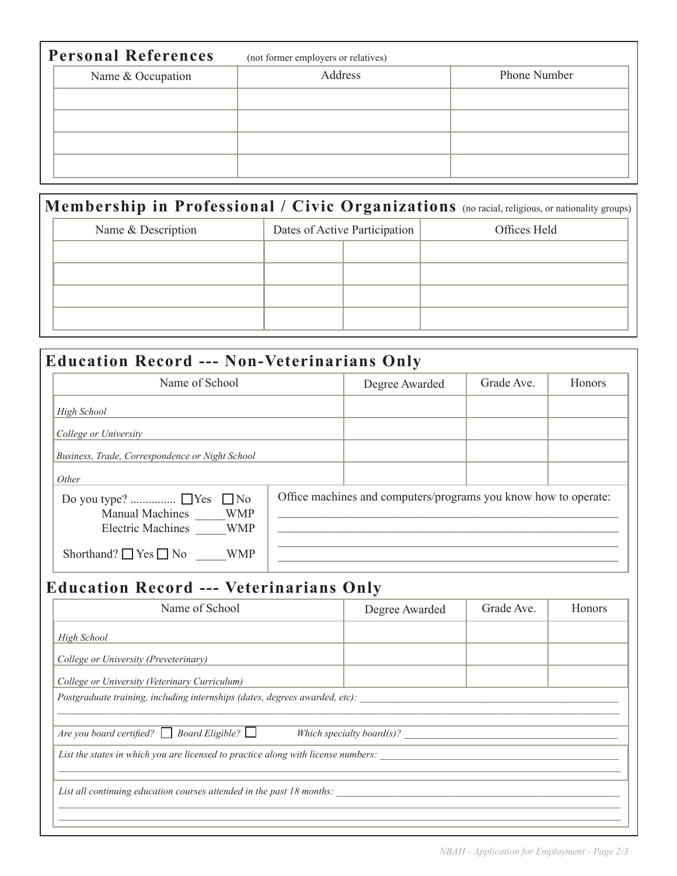| <b>Personal References</b> | (not former employers or relatives) |                     |
|----------------------------|-------------------------------------|---------------------|
| Name & Occupation          | Address                             | <b>Phone Number</b> |
|                            |                                     |                     |
|                            |                                     |                     |
|                            |                                     |                     |
|                            |                                     |                     |

|                    |                               | <b>Membership in Professional / Civic Organizations</b> (no racial, religious, or nationality groups) |
|--------------------|-------------------------------|-------------------------------------------------------------------------------------------------------|
| Name & Description | Dates of Active Participation | Offices Held                                                                                          |
|                    |                               |                                                                                                       |
|                    |                               |                                                                                                       |
|                    |                               |                                                                                                       |
|                    |                               |                                                                                                       |

| <b>Education Record --- Non-Veterinarians Only</b>                                          |                                                                 |            |               |
|---------------------------------------------------------------------------------------------|-----------------------------------------------------------------|------------|---------------|
| Name of School                                                                              | Degree Awarded                                                  | Grade Ave. | <b>Honors</b> |
| High School                                                                                 |                                                                 |            |               |
| College or University                                                                       |                                                                 |            |               |
| Business, Trade, Correspondence or Night School                                             |                                                                 |            |               |
| Other                                                                                       |                                                                 |            |               |
| $\Box$ No<br><b>WMP</b><br><b>Manual Machines</b><br><b>Electric Machines</b><br><b>WMP</b> | Office machines and computers/programs you know how to operate: |            |               |
| Shorthand? $\Box$ Yes $\Box$ No<br><b>WMP</b>                                               |                                                                 |            |               |

## **Education Record --- Veterinarians Only**

| Name of School                                                                    | Degree Awarded | Grade Ave. | <b>Honors</b> |
|-----------------------------------------------------------------------------------|----------------|------------|---------------|
| <b>High School</b>                                                                |                |            |               |
| College or University (Preveterinary)                                             |                |            |               |
| College or University (Veterinary Curriculum)                                     |                |            |               |
| Postgraduate training, including internships (dates, degrees awarded, etc):       |                |            |               |
|                                                                                   |                |            |               |
| Are you board certified? $\Box$ Board Eligible? $\Box$                            |                |            |               |
| List the states in which you are licensed to practice along with license numbers: |                |            |               |
|                                                                                   |                |            |               |
| List all continuing education courses attended in the past 18 months:             |                |            |               |
|                                                                                   |                |            |               |